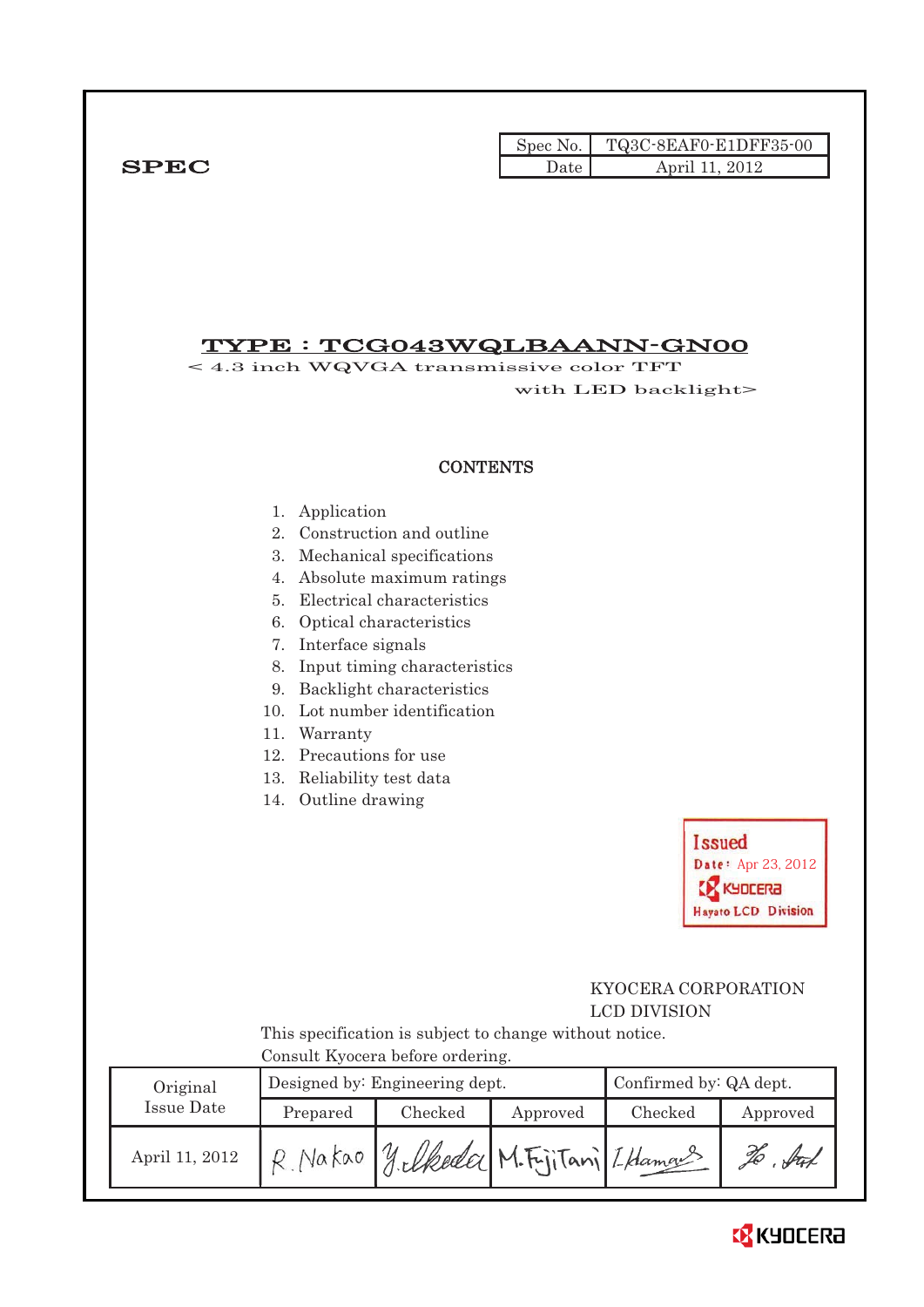|             | Spec No. I | TQ3C-8EAF0-E1DFF35-00 |
|-------------|------------|-----------------------|
| <b>SPEC</b> | Date       | 2012<br>April 11      |

# TYPE : TCG043WQLBAANN-GN00

< 4.3 inch WQVGA transmissive color TFT with LED backlight>

### **CONTENTS**

- 1. Application
- 2. Construction and outline
- 3. Mechanical specifications
- 4. Absolute maximum ratings
- 5. Electrical characteristics
- 6. Optical characteristics
- 7. Interface signals
- 8. Input timing characteristics
- 9. Backlight characteristics
- 10. Lot number identification
- 11. Warranty
- 12. Precautions for use
- 13. Reliability test data
- 14. Outline drawing



# KYOCERA CORPORATION LCD DIVISION

 This specification is subject to change without notice. Consult Kyocera before ordering.

| Original       |          | Designed by: Engineering dept. |          | Confirmed by: QA dept. |          |  |
|----------------|----------|--------------------------------|----------|------------------------|----------|--|
| Issue Date     | Prepared | Checked                        | Approved | Checked                | Approved |  |
| April 11, 2012 | Nakao    | yelkeda M.F.jiTani LHamas      |          |                        | H        |  |

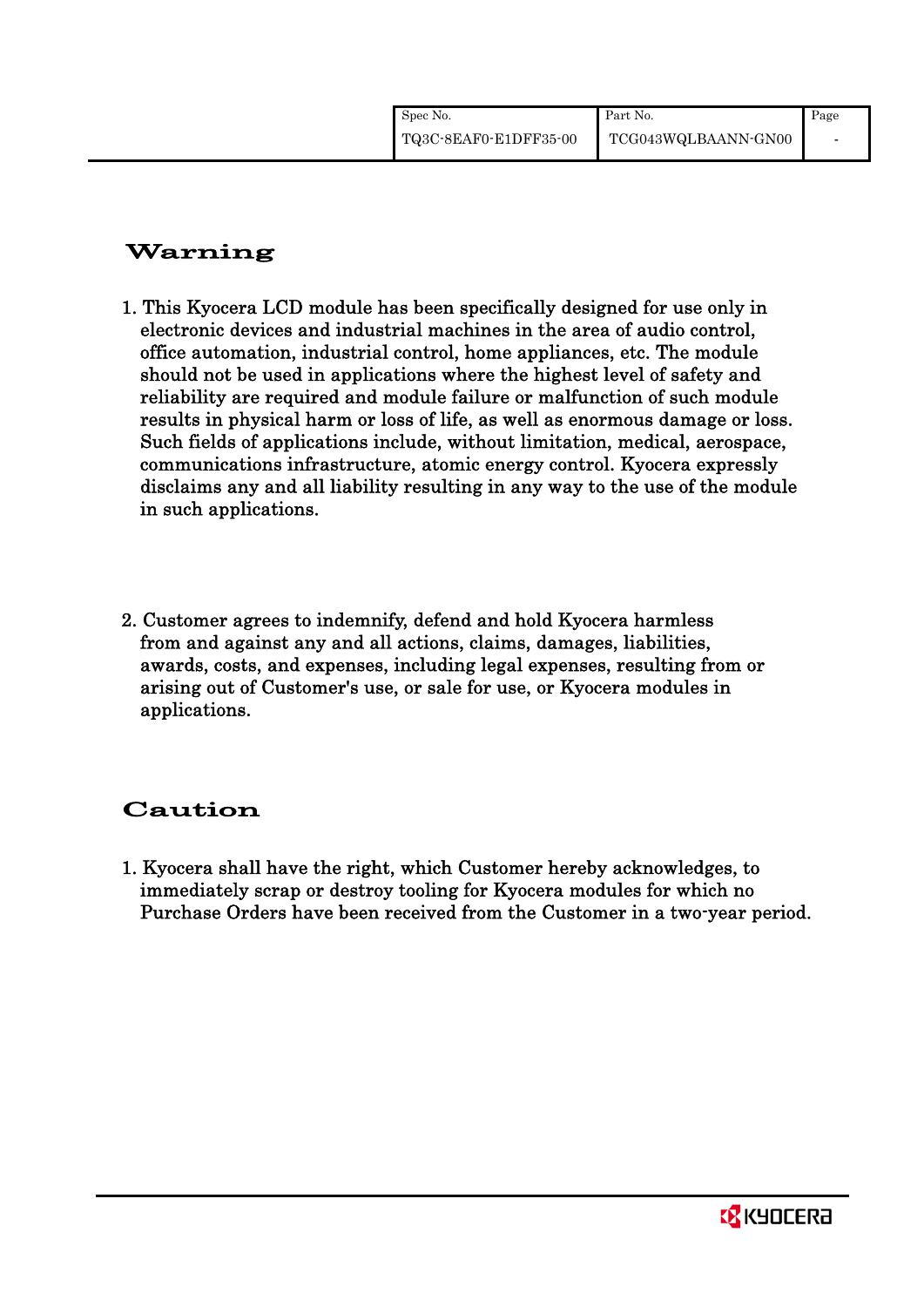# Warning

- 1. This Kyocera LCD module has been specifically designed for use only in electronic devices and industrial machines in the area of audio control, office automation, industrial control, home appliances, etc. The module should not be used in applications where the highest level of safety and reliability are required and module failure or malfunction of such module results in physical harm or loss of life, as well as enormous damage or loss. Such fields of applications include, without limitation, medical, aerospace, communications infrastructure, atomic energy control. Kyocera expressly disclaims any and all liability resulting in any way to the use of the module in such applications.
- 2. Customer agrees to indemnify, defend and hold Kyocera harmless from and against any and all actions, claims, damages, liabilities, awards, costs, and expenses, including legal expenses, resulting from or arising out of Customer's use, or sale for use, or Kyocera modules in applications.

# Caution

1. Kyocera shall have the right, which Customer hereby acknowledges, to immediately scrap or destroy tooling for Kyocera modules for which no Purchase Orders have been received from the Customer in a two-year period.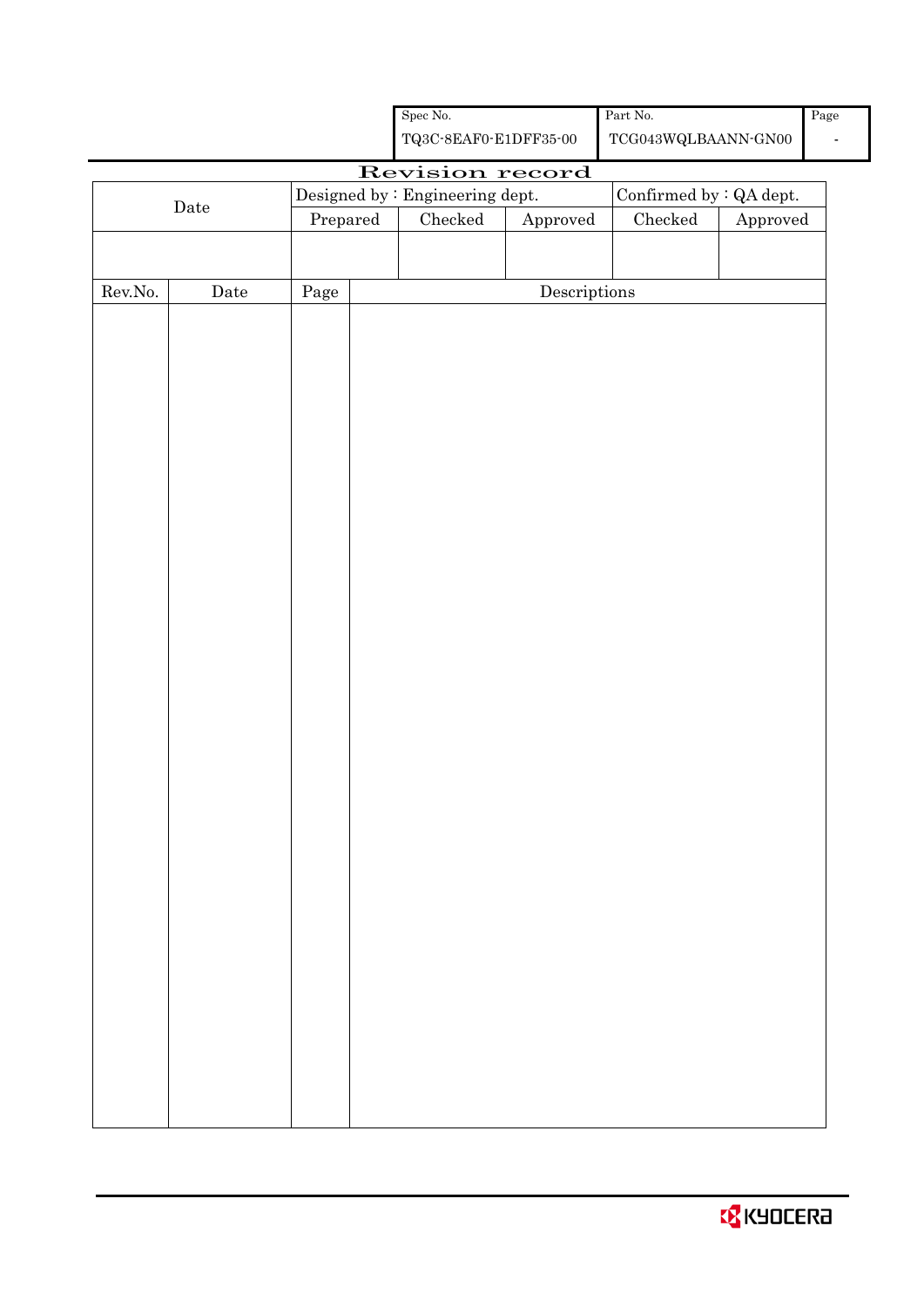| <b>X</b> KYOCERA |  |  |  |
|------------------|--|--|--|
|------------------|--|--|--|

|         |                      |          |                                                                                                   | ${\rm Spec}$ No.                |                                      | Part No.                |          | Pag |
|---------|----------------------|----------|---------------------------------------------------------------------------------------------------|---------------------------------|--------------------------------------|-------------------------|----------|-----|
|         |                      |          | ${\bf TQ3C\text{-}SEAF0\text{-}E1DFF35\text{-}00}$<br>$\operatorname{TCG043WQLBAANN\text{-}GN00}$ |                                 |                                      |                         |          |     |
|         |                      |          |                                                                                                   | Revision record                 |                                      |                         |          |     |
|         | $\rm{\textbf{Date}}$ |          |                                                                                                   | Designed by : Engineering dept. |                                      | Confirmed by : QA dept. |          |     |
|         |                      | Prepared |                                                                                                   | ${\it Checked}$                 | Approved                             | $\rm Checked$           | Approved |     |
|         |                      |          |                                                                                                   |                                 |                                      |                         |          |     |
| Rev.No. | Date                 | Page     |                                                                                                   |                                 | $\label{eq:2} \textbf{Descriptions}$ |                         |          |     |
|         |                      |          |                                                                                                   |                                 |                                      |                         |          |     |
|         |                      |          |                                                                                                   |                                 |                                      |                         |          |     |
|         |                      |          |                                                                                                   |                                 |                                      |                         |          |     |
|         |                      |          |                                                                                                   |                                 |                                      |                         |          |     |
|         |                      |          |                                                                                                   |                                 |                                      |                         |          |     |
|         |                      |          |                                                                                                   |                                 |                                      |                         |          |     |
|         |                      |          |                                                                                                   |                                 |                                      |                         |          |     |
|         |                      |          |                                                                                                   |                                 |                                      |                         |          |     |
|         |                      |          |                                                                                                   |                                 |                                      |                         |          |     |
|         |                      |          |                                                                                                   |                                 |                                      |                         |          |     |
|         |                      |          |                                                                                                   |                                 |                                      |                         |          |     |
|         |                      |          |                                                                                                   |                                 |                                      |                         |          |     |
|         |                      |          |                                                                                                   |                                 |                                      |                         |          |     |
|         |                      |          |                                                                                                   |                                 |                                      |                         |          |     |
|         |                      |          |                                                                                                   |                                 |                                      |                         |          |     |
|         |                      |          |                                                                                                   |                                 |                                      |                         |          |     |
|         |                      |          |                                                                                                   |                                 |                                      |                         |          |     |
|         |                      |          |                                                                                                   |                                 |                                      |                         |          |     |
|         |                      |          |                                                                                                   |                                 |                                      |                         |          |     |
|         |                      |          |                                                                                                   |                                 |                                      |                         |          |     |
|         |                      |          |                                                                                                   |                                 |                                      |                         |          |     |
|         |                      |          |                                                                                                   |                                 |                                      |                         |          |     |
|         |                      |          |                                                                                                   |                                 |                                      |                         |          |     |
|         |                      |          |                                                                                                   |                                 |                                      |                         |          |     |
|         |                      |          |                                                                                                   |                                 |                                      |                         |          |     |
|         |                      |          |                                                                                                   |                                 |                                      |                         |          |     |
|         |                      |          |                                                                                                   |                                 |                                      |                         |          |     |
|         |                      |          |                                                                                                   |                                 |                                      |                         |          |     |
|         |                      |          |                                                                                                   |                                 |                                      |                         |          |     |
|         |                      |          |                                                                                                   |                                 |                                      |                         |          |     |
|         |                      |          |                                                                                                   |                                 |                                      |                         |          |     |
|         |                      |          |                                                                                                   |                                 |                                      |                         |          |     |
|         |                      |          |                                                                                                   |                                 |                                      |                         |          |     |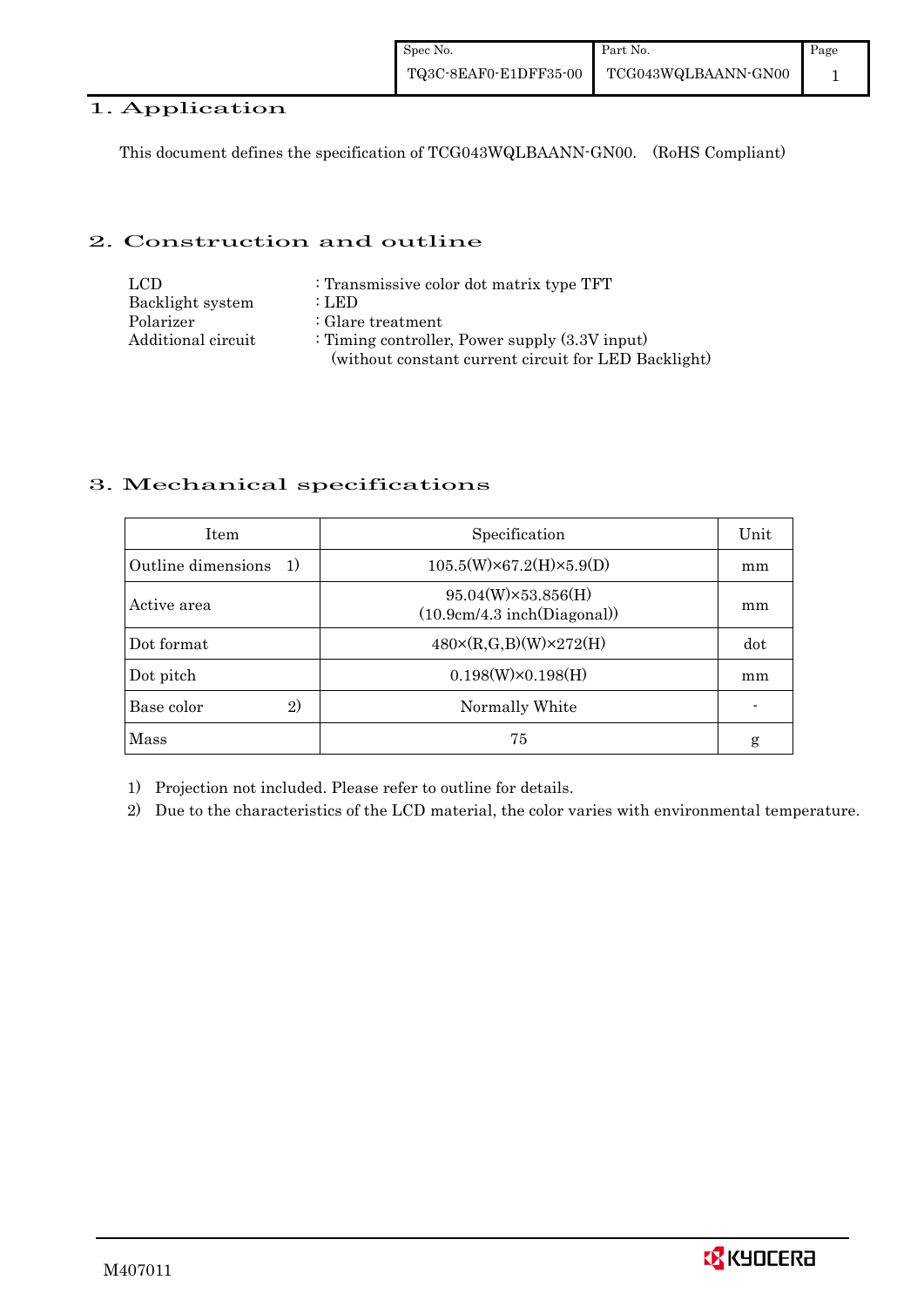# 1. Application

This document defines the specification of TCG043WQLBAANN-GN00. (RoHS Compliant)

### 2. Construction and outline

| LCD.               | : Transmissive color dot matrix type TFT             |
|--------------------|------------------------------------------------------|
| Backlight system   | : LED                                                |
| Polarizer          | $:$ Glare treatment                                  |
| Additional circuit | : Timing controller, Power supply $(3.3V)$ input)    |
|                    | (without constant current circuit for LED Backlight) |

# 3. Mechanical specifications

| <b>Item</b>                        | Specification                                            | Unit |
|------------------------------------|----------------------------------------------------------|------|
| Outline dimensions<br><sup>1</sup> | $105.5(W)\times 67.2(H)\times 5.9(D)$                    | mm   |
| Active area                        | $95.04(W)\times53.856(H)$<br>(10.9cm/4.3 inch(Diagonal)) | mm   |
| Dot format                         | $480 \times (R,G,B)(W) \times 272(H)$                    | dot  |
| Dot pitch                          | $0.198(W)\times0.198(H)$                                 | mm   |
| Base color<br>$\mathbf{2}$         | Normally White                                           |      |
| Mass                               | 75                                                       | g    |

1) Projection not included. Please refer to outline for details.

2) Due to the characteristics of the LCD material, the color varies with environmental temperature.

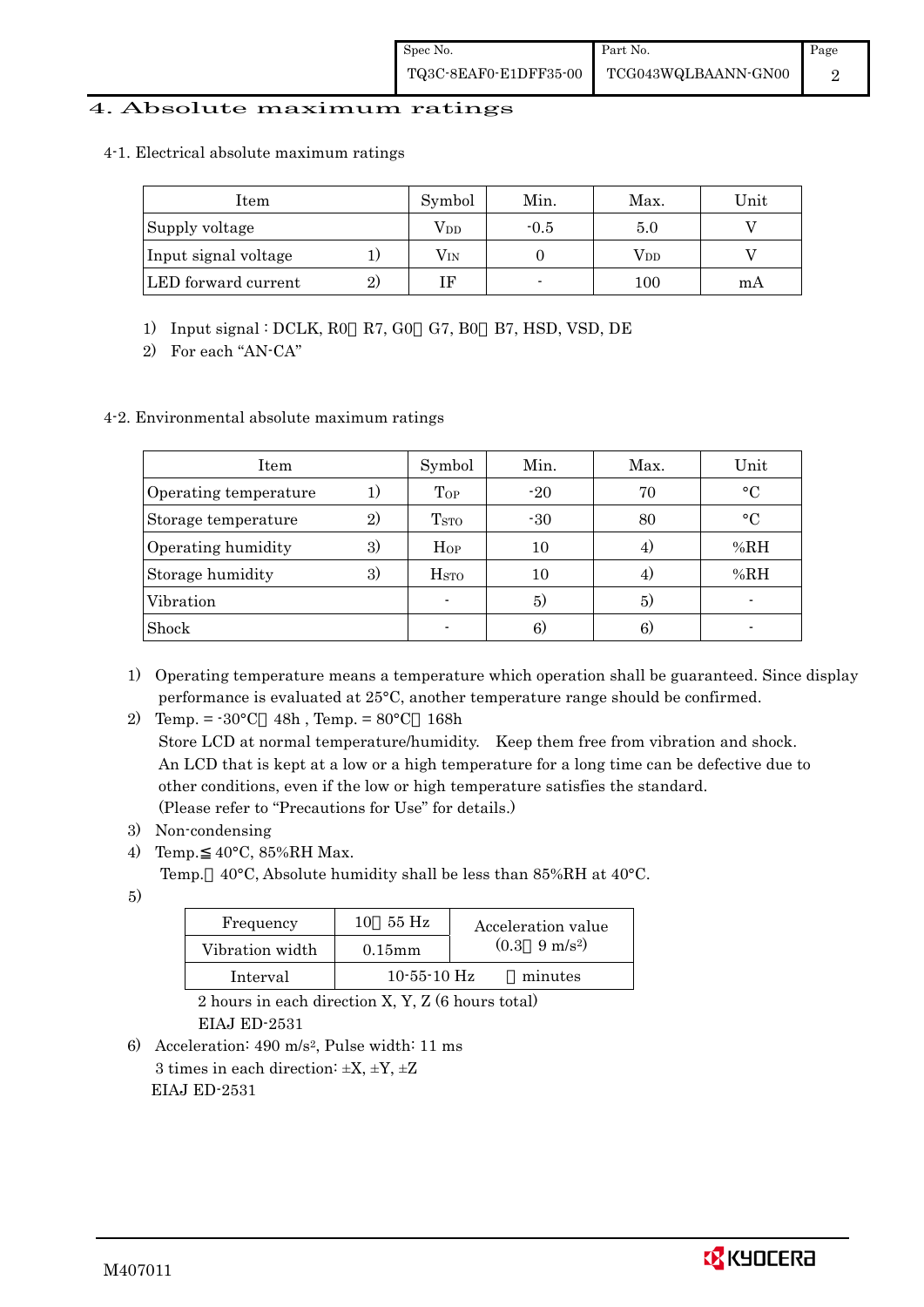### 4. Absolute maximum ratings

#### 4-1. Electrical absolute maximum ratings

| Item                 |              | Symbol       | Min.   | Max.         | Unit |
|----------------------|--------------|--------------|--------|--------------|------|
| Supply voltage       |              | Vdd          | $-0.5$ | 5.0          |      |
| Input signal voltage |              | $\rm V_{IN}$ |        | $\rm V_{DD}$ |      |
| LED forward current  | $\mathbf{2}$ |              | -      | 100          | mА   |

1) Input signal : DCLK, R0 R7, G0 G7, B0 B7, HSD, VSD, DE

2) For each "AN-CA"

### 4-2. Environmental absolute maximum ratings

| Item                  |              | Symbol                   | Min.  | Max. | Unit      |
|-----------------------|--------------|--------------------------|-------|------|-----------|
| Operating temperature |              | Top                      | $-20$ | 70   | $\circ$ C |
| Storage temperature   | $\mathbf{2}$ | <b>T</b> <sub>STO</sub>  | $-30$ | 80   | $\circ$ C |
| Operating humidity    | 3)           | Hop                      | 10    | 4.   | %RH       |
| Storage humidity      | 3)           | <b>H</b> <sub>sto</sub>  | 10    | 4.   | %RH       |
| Vibration             |              | $\overline{\phantom{a}}$ | 5)    | 5)   |           |
| Shock                 |              |                          | 6)    | 6)   |           |

1) Operating temperature means a temperature which operation shall be guaranteed. Since display performance is evaluated at 25°C, another temperature range should be confirmed.

2) Temp. = -30°C 48h , Temp. = 80°C 168h

 Store LCD at normal temperature/humidity. Keep them free from vibration and shock. An LCD that is kept at a low or a high temperature for a long time can be defective due to other conditions, even if the low or high temperature satisfies the standard. (Please refer to "Precautions for Use" for details.)

- 3) Non-condensing
- 4) Temp. 40°C, 85%RH Max.
	- Temp. 40°C, Absolute humidity shall be less than 85%RH at 40°C.
- 5)

| Frequency       | 55 Hz<br>10       | Acceleration value            |
|-----------------|-------------------|-------------------------------|
| Vibration width | $0.15$ mm         | $(0.3 \quad 9 \text{ m/s}^2)$ |
| Interval        | $10 - 55 - 10$ Hz | minutes                       |

 2 hours in each direction X, Y, Z (6 hours total) EIAJ ED-2531

6) Acceleration: 490 m/s2, Pulse width: 11 ms 3 times in each direction:  $\pm X$ ,  $\pm Y$ ,  $\pm Z$ EIAJ ED-2531

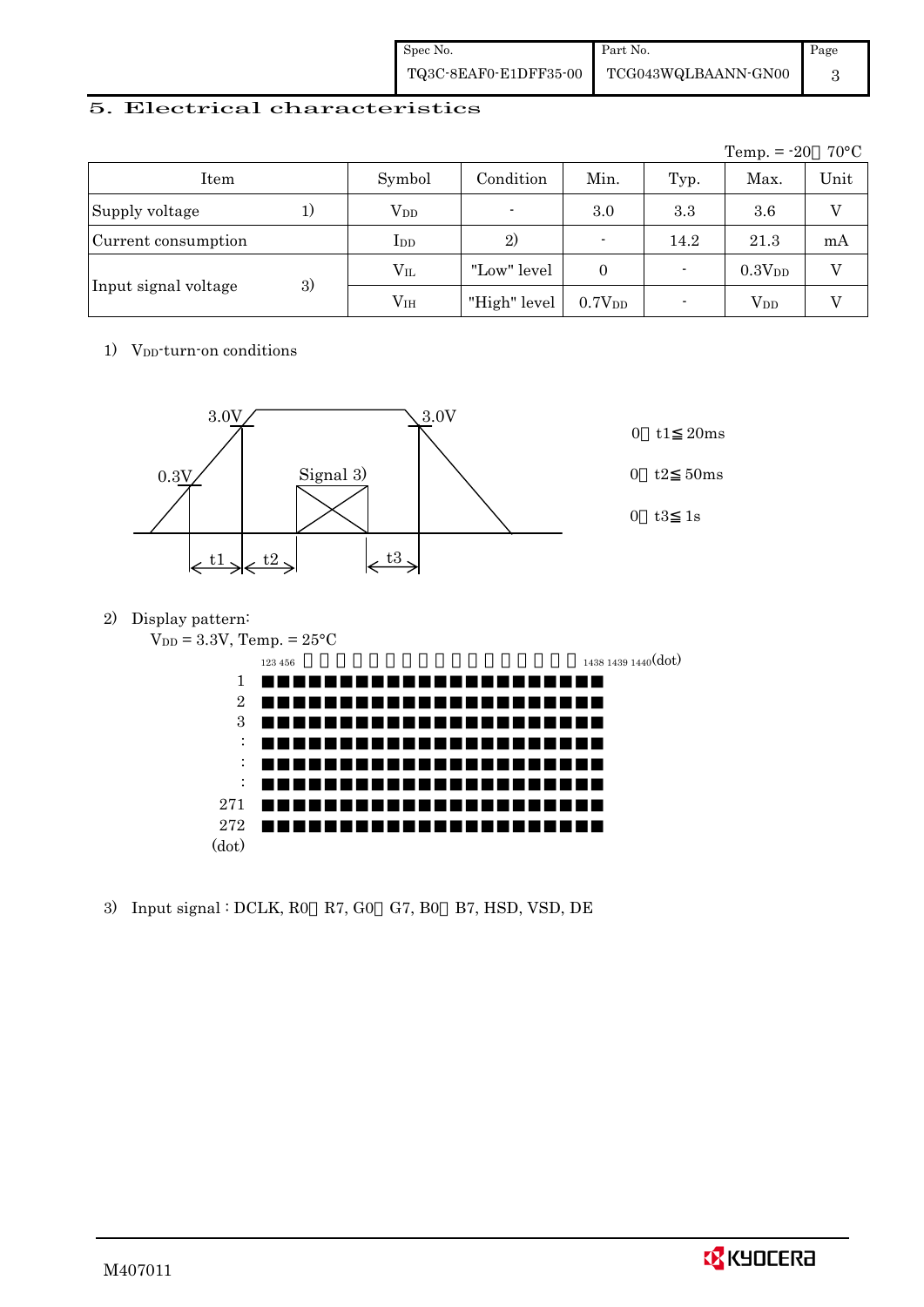| Spec No. | Part No.                                  | Page |
|----------|-------------------------------------------|------|
|          | TQ3C-8EAF0-E1DFF35-00 TCG043WQLBAANN-GN00 |      |

### 5. Electrical characteristics

|                            |    |                 |                          |                          |                          | Temp. $= -20$          | $70^{\circ}$ C |
|----------------------------|----|-----------------|--------------------------|--------------------------|--------------------------|------------------------|----------------|
| Item                       |    | Symbol          | Condition                | Min.                     | Typ.                     | Max.                   | Unit           |
| Supply voltage             | 1) | $\rm V_{DD}$    | $\overline{\phantom{0}}$ | 3.0                      | 3.3                      | 3.6                    | V              |
| Current consumption        |    | $_{\rm{LDD}}$   | 2)                       | $\overline{\phantom{0}}$ | 14.2                     | 21.3                   | mA             |
|                            |    | $\rm V_{II}$    | "Low" level              | $\Omega$                 | $\overline{\phantom{0}}$ | 0.3V <sub>DD</sub>     | V              |
| 3)<br>Input signal voltage |    | V <sub>IH</sub> | "High" level             | 0.7V <sub>DD</sub>       |                          | <b>V</b> <sub>DD</sub> |                |

# 1) V<sub>DD</sub>-turn-on conditions



2) Display pattern:

| $V_{DD} = 3.3V$ , Temp. = $25^{\circ}C$ |                     |
|-----------------------------------------|---------------------|
| 123 456                                 | 1438 1439 1440(dot) |
| 1                                       |                     |
| $\overline{2}$                          |                     |
| 3                                       |                     |
| ٠<br>$\cdot$                            |                     |
| ٠<br>$\bullet$                          |                     |
| ٠<br>$\cdot$                            |                     |
| 271                                     |                     |
| 272                                     |                     |
| (dot)                                   |                     |
|                                         |                     |

3) Input signal : DCLK, R0 R7, G0 G7, B0 B7, HSD, VSD, DE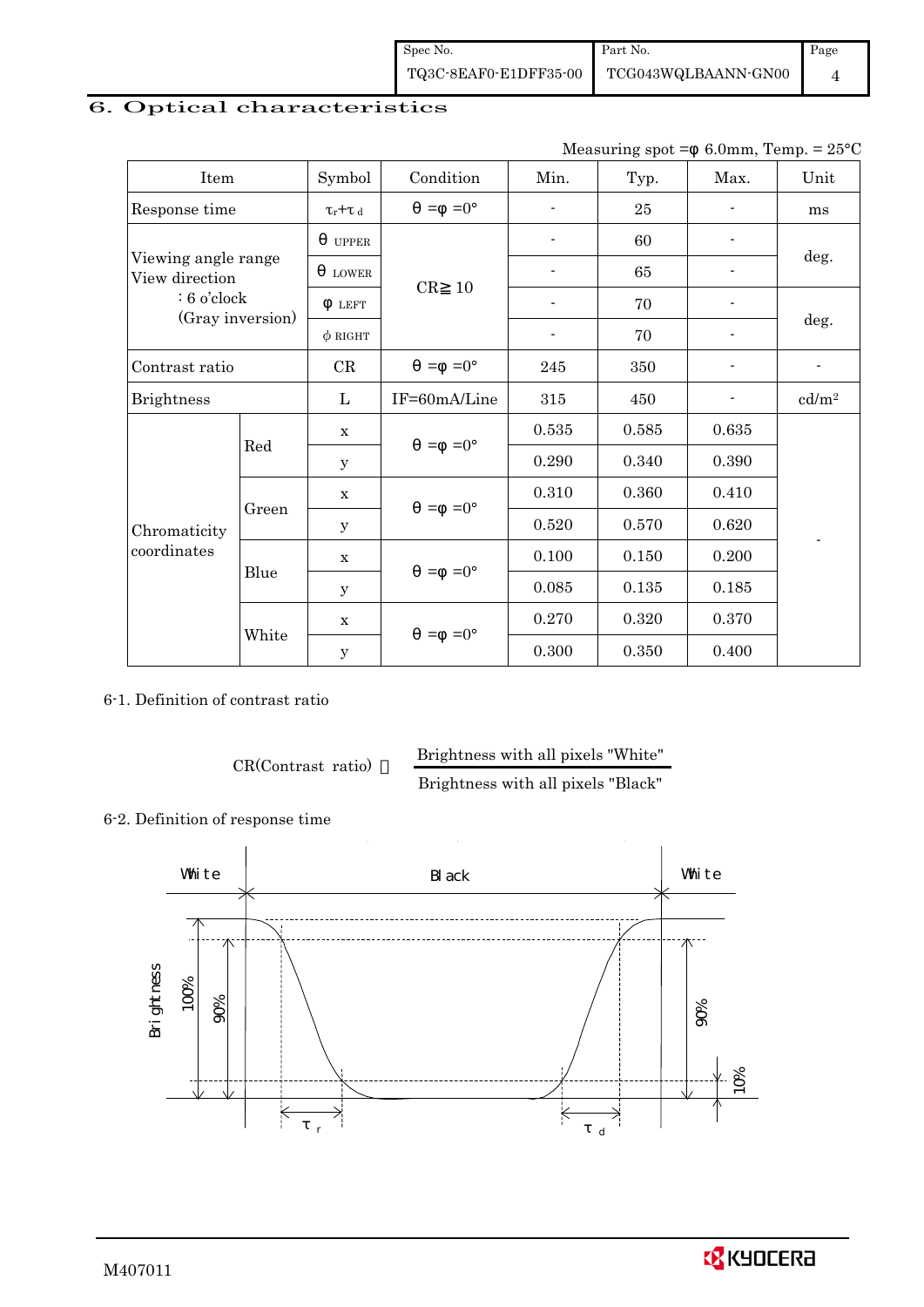| Spec No. | Part No.                                  | Page |
|----------|-------------------------------------------|------|
|          | TQ3C-8EAF0-E1DFF35-00 TCG043WQLBAANN-GN00 |      |

# 6. Optical characteristics

Measuring spot =  $6.0$ mm, Temp. =  $25^{\circ}$ C

| Item                                  |                  | Symbol              | Condition           | Min.                     | Typ.   | Max.                     | Unit                     |
|---------------------------------------|------------------|---------------------|---------------------|--------------------------|--------|--------------------------|--------------------------|
| Response time                         |                  | $\tau_r$ + $\tau_d$ | $=0^{\circ}$<br>$=$ |                          | $25\,$ |                          | ms                       |
|                                       |                  | <b>UPPER</b>        |                     |                          | 60     |                          |                          |
| Viewing angle range<br>View direction |                  | <b>LOWER</b>        |                     | $\overline{\phantom{a}}$ | 65     | $\overline{a}$           | deg.                     |
| $: 6$ o'clock                         |                  | <b>LEFT</b>         | CR<br>10            |                          | 70     |                          |                          |
|                                       | (Gray inversion) | $\phi$ RIGHT        |                     |                          | 70     |                          | deg.                     |
| Contrast ratio                        |                  | CR                  | $=0^{\circ}$<br>$=$ | 245                      | 350    | $\overline{\phantom{a}}$ | $\overline{\phantom{a}}$ |
| <b>Brightness</b>                     |                  |                     | IF=60mA/Line        | 315                      | 450    |                          | cd/m <sup>2</sup>        |
|                                       |                  | $\mathbf x$         | $=0^{\circ}$<br>$=$ | 0.535                    | 0.585  | 0.635                    |                          |
|                                       | Red              | y                   |                     | 0.290                    | 0.340  | 0.390                    |                          |
|                                       |                  | $\mathbf x$         |                     | 0.310                    | 0.360  | 0.410                    |                          |
| Chromaticity                          | Green            | y                   | $=0^{\circ}$<br>$=$ | 0.520                    | 0.570  | 0.620                    |                          |
| coordinates                           |                  | $\mathbf X$         | $=0^{\circ}$<br>$=$ | 0.100                    | 0.150  | 0.200                    |                          |
|                                       | Blue             | y                   |                     | 0.085                    | 0.135  | 0.185                    |                          |
|                                       |                  | $\mathbf x$         |                     | 0.270                    | 0.320  | 0.370                    |                          |
|                                       | White            | $\mathbf y$         | $=0^{\circ}$<br>$=$ | 0.300                    | 0.350  | 0.400                    |                          |

6-1. Definition of contrast ratio

CR(Contrast ratio) Brightness with all pixels "White"

Brightness with all pixels "Black"

6-2. Definition of response time



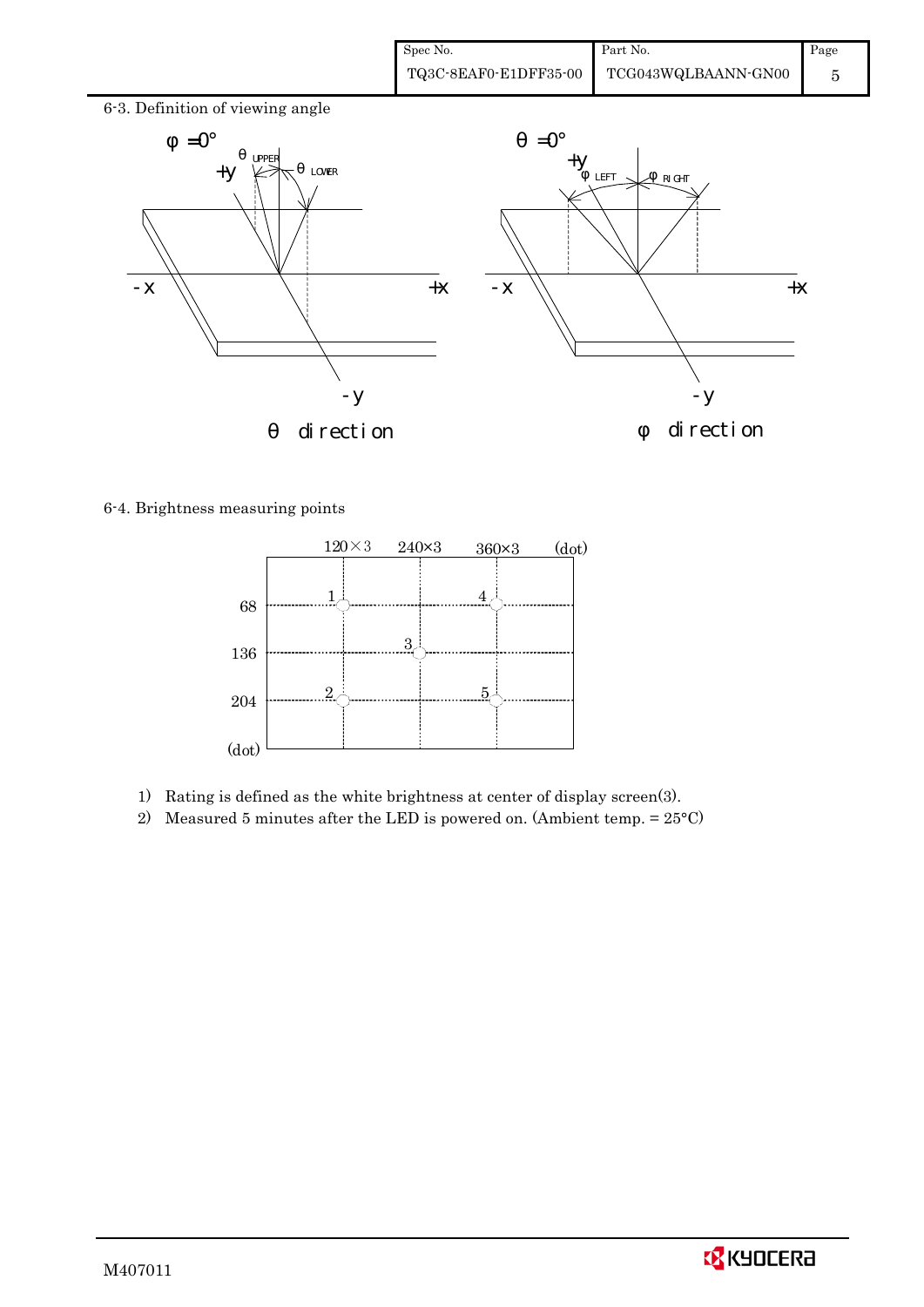| Spec No.              | Part No.            | Page |
|-----------------------|---------------------|------|
| TQ3C-8EAF0-E1DFF35-00 | TCG043WQLBAANN-GN00 |      |



6-4. Brightness measuring points



- 1) Rating is defined as the white brightness at center of display screen(3).
- 2) Measured 5 minutes after the LED is powered on. (Ambient temp.  $= 25^{\circ}$ C)

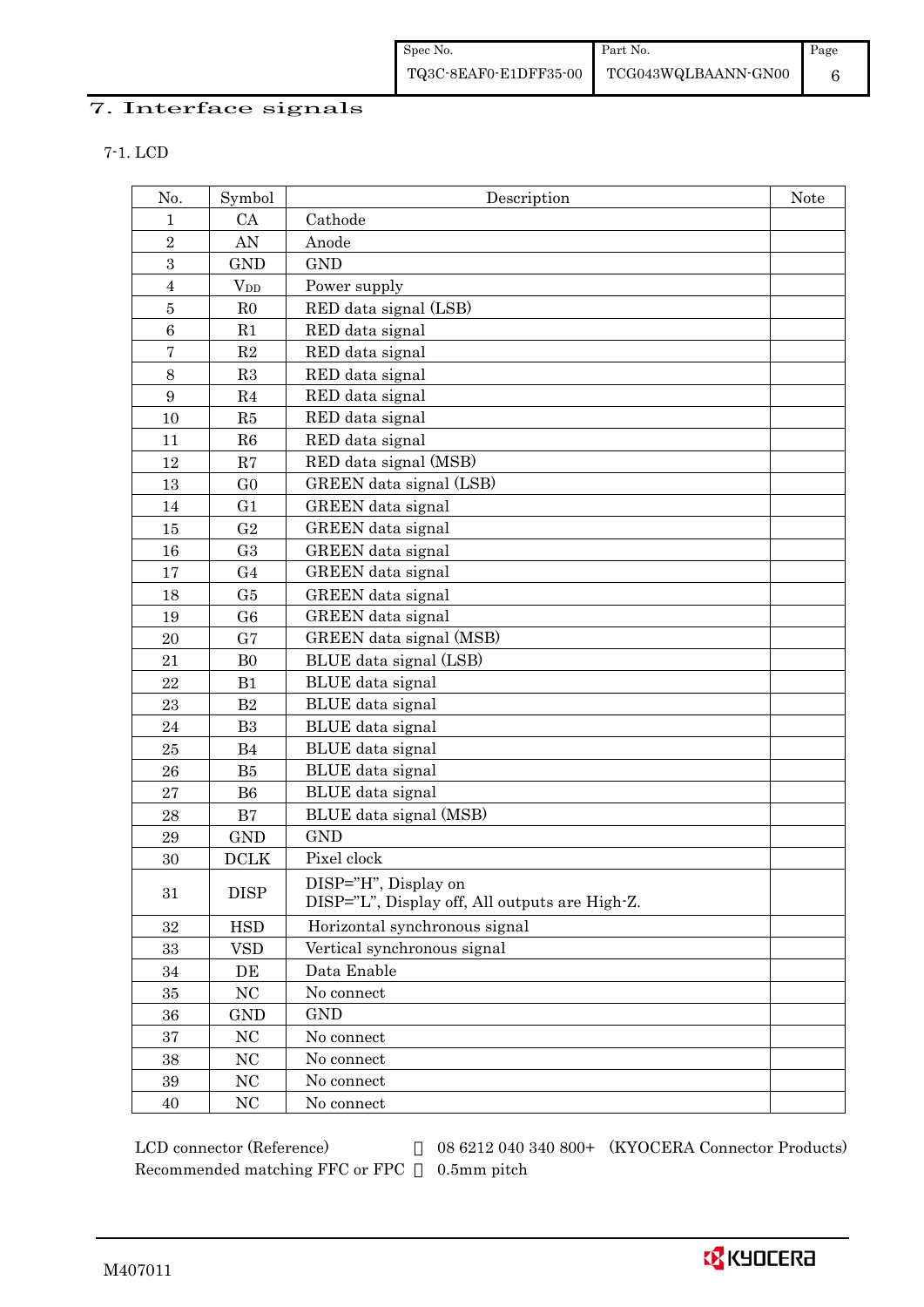# 7. Interface signals

7-1. LCD

| No.                      | Symbol         | Description                                                            | <b>Note</b> |
|--------------------------|----------------|------------------------------------------------------------------------|-------------|
| $\mathbf{1}$             | CA             | Cathode                                                                |             |
| $\overline{2}$           | AN             | Anode                                                                  |             |
| $\sqrt{3}$               | <b>GND</b>     | <b>GND</b>                                                             |             |
| $\overline{4}$           | $V_{DD}$       | Power supply                                                           |             |
| $\bf 5$                  | R <sub>0</sub> | RED data signal (LSB)                                                  |             |
| $\,6$                    | R1             | RED data signal                                                        |             |
| $\overline{\mathcal{I}}$ | $\mathbf{R}2$  | RED data signal                                                        |             |
| $8\,$                    | R3             | RED data signal                                                        |             |
| 9                        | R4             | RED data signal                                                        |             |
| 10                       | R5             | RED data signal                                                        |             |
| 11                       | R6             | RED data signal                                                        |             |
| 12                       | R7             | RED data signal (MSB)                                                  |             |
| 13                       | G <sub>0</sub> | GREEN data signal (LSB)                                                |             |
| 14                       | G1             | <b>GREEN</b> data signal                                               |             |
| 15                       | G <sub>2</sub> | GREEN data signal                                                      |             |
| 16                       | G <sub>3</sub> | GREEN data signal                                                      |             |
| 17                       | G <sub>4</sub> | GREEN data signal                                                      |             |
| 18                       | G5             | GREEN data signal                                                      |             |
| 19                       | G <sub>6</sub> | GREEN data signal                                                      |             |
| 20                       | G7             | GREEN data signal (MSB)                                                |             |
| 21                       | B <sub>0</sub> | BLUE data signal (LSB)                                                 |             |
| 22                       | B1             | BLUE data signal                                                       |             |
| 23                       | B2             | BLUE data signal                                                       |             |
| 24                       | B <sub>3</sub> | BLUE data signal                                                       |             |
| 25                       | B4             | BLUE data signal                                                       |             |
| 26                       | B5             | BLUE data signal                                                       |             |
| 27                       | B <sub>6</sub> | BLUE data signal                                                       |             |
| 28                       | B7             | BLUE data signal (MSB)                                                 |             |
| 29                       | <b>GND</b>     | <b>GND</b>                                                             |             |
| 30                       | <b>DCLK</b>    | Pixel clock                                                            |             |
| 31                       | <b>DISP</b>    | DISP="H", Display on<br>DISP="L", Display off, All outputs are High-Z. |             |
|                          |                |                                                                        |             |
| 32                       | <b>HSD</b>     | Horizontal synchronous signal                                          |             |
| 33                       | <b>VSD</b>     | Vertical synchronous signal                                            |             |
| 34                       | DE             | Data Enable                                                            |             |
| 35                       | $\rm NC$       | No connect                                                             |             |
| 36                       | GND            | <b>GND</b>                                                             |             |
| 37                       | $\rm NC$       | No connect                                                             |             |
| 38                       | $\rm NC$       | No connect                                                             |             |
| 39                       | NC             | No connect                                                             |             |
| 40                       | NC             | No connect                                                             |             |

Recommended matching FFC or FPC 0.5mm pitch

LCD connector (Reference) 08 6212 040 340 800+ (KYOCERA Connector Products)

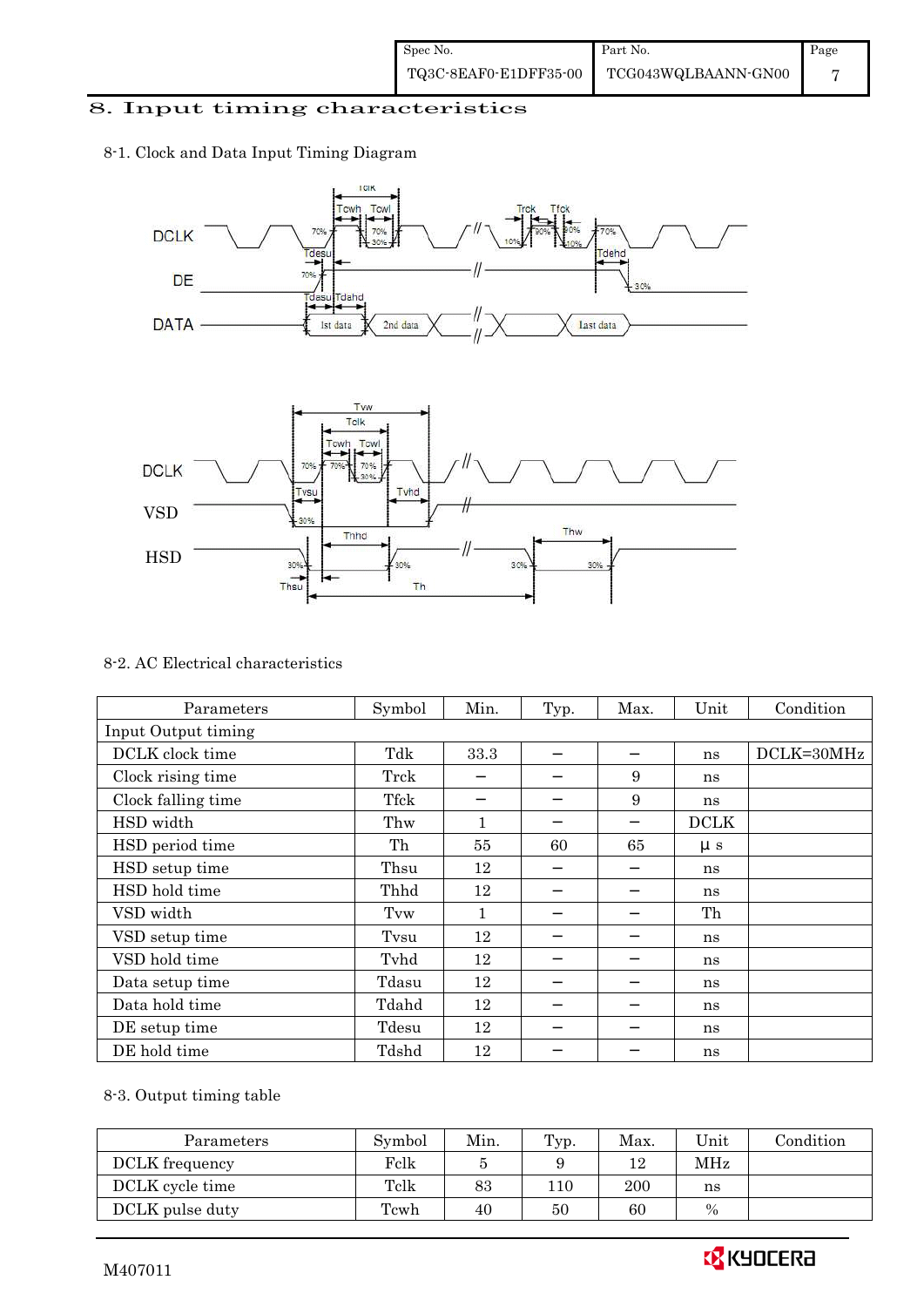# 8. Input timing characteristics

# 8-1. Clock and Data Input Timing Diagram





#### 8-2. AC Electrical characteristics

| Parameters          | Symbol | Min. | Typ. | Max. | Unit        | Condition  |
|---------------------|--------|------|------|------|-------------|------------|
| Input Output timing |        |      |      |      |             |            |
| DCLK clock time     | Tdk    | 33.3 |      |      | ns          | DCLK=30MHz |
| Clock rising time   | Trck   |      |      | 9    | ns          |            |
| Clock falling time  | Tfck   |      |      | 9    | ns          |            |
| HSD width           | Thw    | 1    |      |      | <b>DCLK</b> |            |
| HSD period time     | Th     | 55   | 60   | 65   | $\mu s$     |            |
| HSD setup time      | Thsu   | 12   |      |      | ns          |            |
| HSD hold time       | Thhd   | 12   |      |      | ns          |            |
| VSD width           | Tvw    | 1    |      |      | Th          |            |
| VSD setup time      | Tvsu   | 12   |      |      | ns          |            |
| VSD hold time       | Tyhd   | 12   |      |      | ns          |            |
| Data setup time     | Tdasu  | 12   |      |      | ns          |            |
| Data hold time      | Tdahd  | 12   |      |      | ns          |            |
| DE setup time       | Tdesu  | 12   |      |      | ns          |            |
| DE hold time        | Tdshd  | 12   |      |      | ns          |            |

# 8-3. Output timing table

| Parameters      | Symbol | Min. | Typ. | Max. | Unit | Condition |
|-----------------|--------|------|------|------|------|-----------|
| DCLK frequency  | Felk   |      |      | 12   | MHz  |           |
| DCLK cycle time | Tclk   | 83   | 110  | 200  | ns   |           |
| DCLK pulse duty | Tcwh   | 40   | 50   | 60   | $\%$ |           |

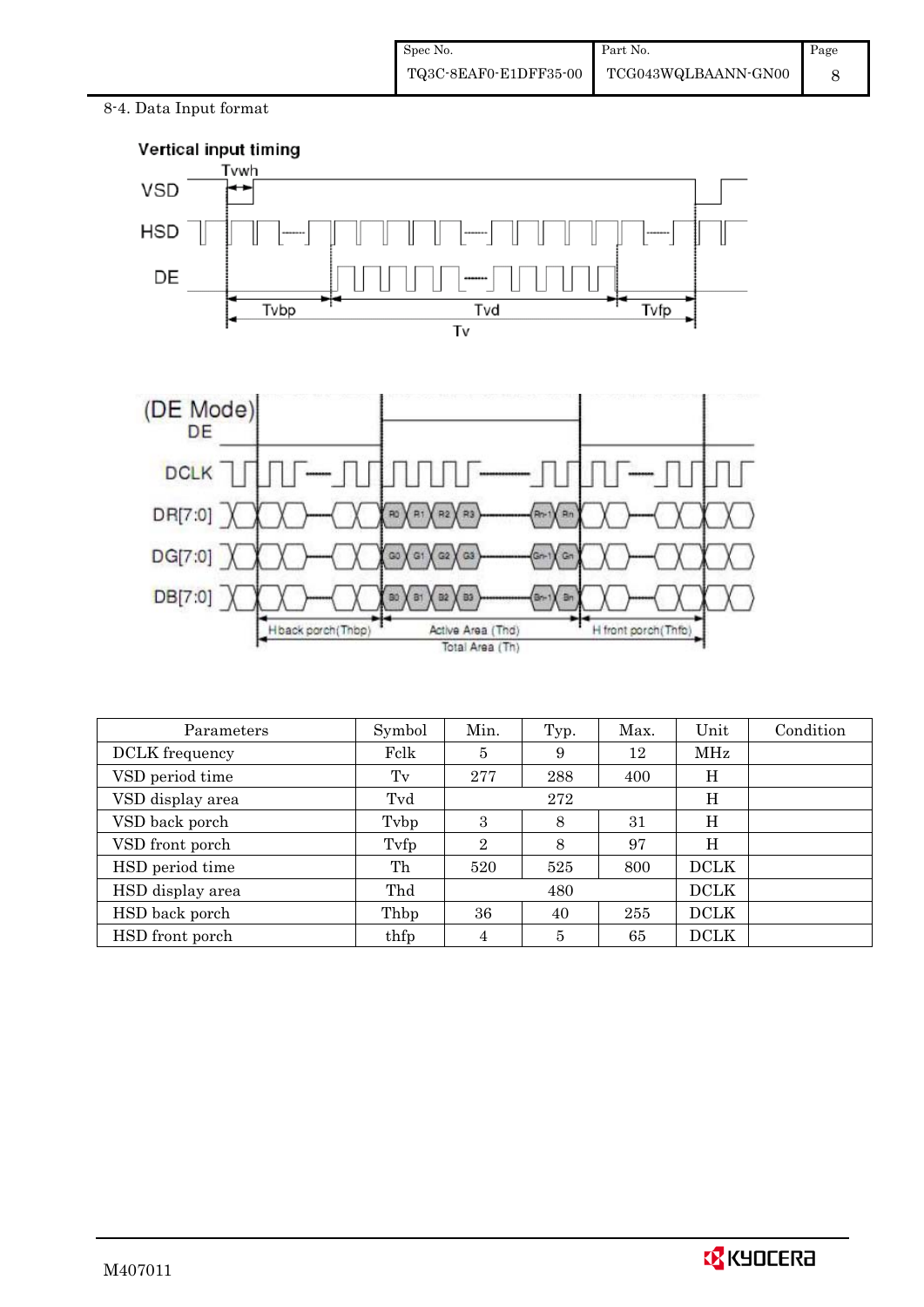8-4. Data Input format



| Parameters       | Symbol | Min.           | Typ. | Max. | Unit        | Condition |
|------------------|--------|----------------|------|------|-------------|-----------|
| DCLK frequency   | Fclk   | 5              | 9    | 12   | MHz         |           |
| VSD period time  | Tv     | 277            | 288  | 400  | Η           |           |
| VSD display area | Tvd    |                | 272  |      | Η           |           |
| VSD back porch   | Tybp   | 3              | 8    | 31   | Η           |           |
| VSD front porch  | Tyfp   | $\overline{2}$ | 8    | 97   | Η           |           |
| HSD period time  | Th     | 520            | 525  | 800  | <b>DCLK</b> |           |
| HSD display area | Thd    |                | 480  |      | <b>DCLK</b> |           |
| HSD back porch   | Thbp   | 36             | 40   | 255  | <b>DCLK</b> |           |
| HSD front porch  | thfp   | 4              | 5    | 65   | <b>DCLK</b> |           |

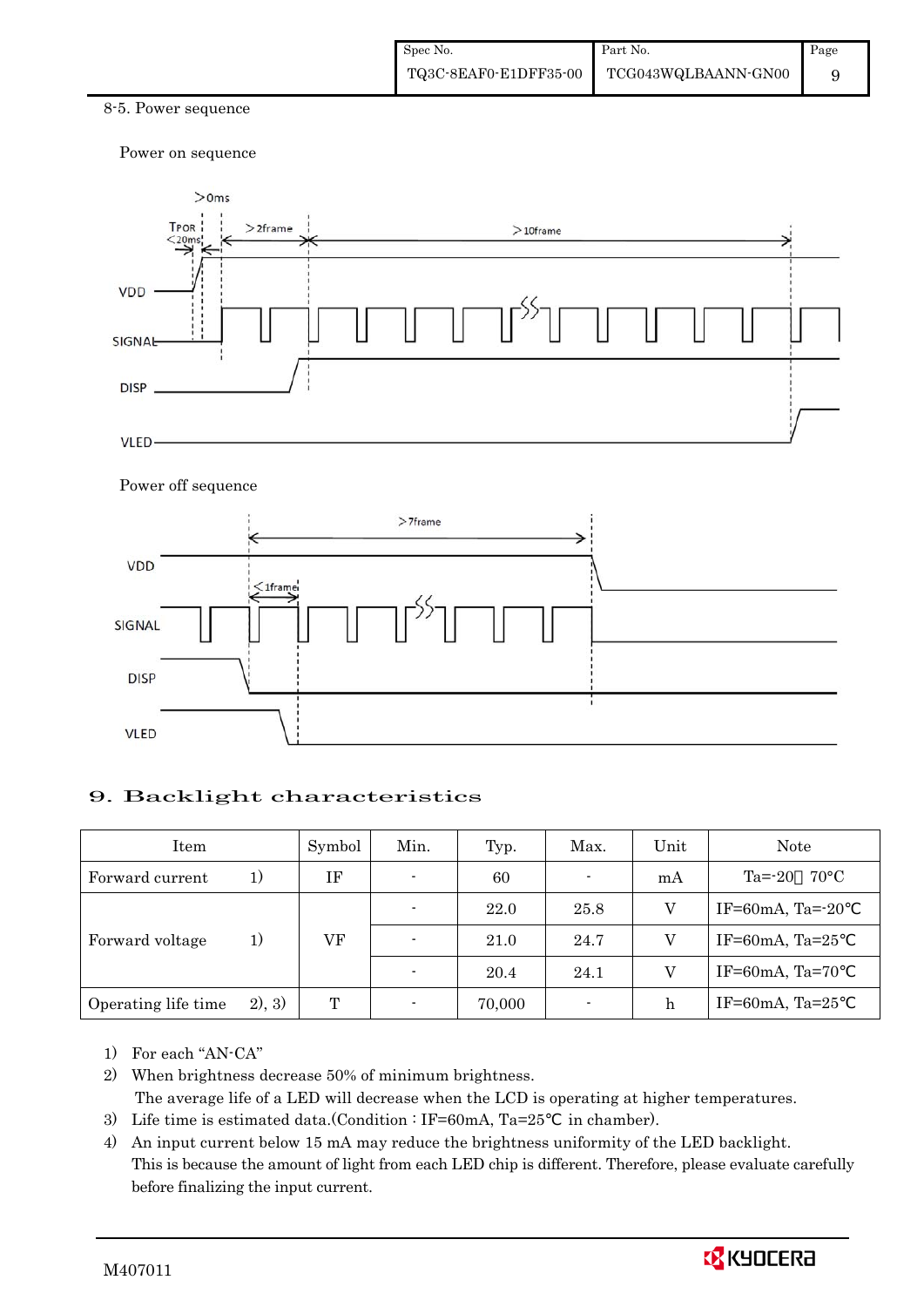#### 8-5. Power sequence

Power on sequence



#### Power off sequence



### 9. Backlight characteristics

| Item                |        | Symbol | Min.                     | Typ.   | Max.   | Unit | Note                         |
|---------------------|--------|--------|--------------------------|--------|--------|------|------------------------------|
| Forward current     | 1)     | ΙF     | $\blacksquare$           | 60     | ۰.     | mA   | $Ta = -20$<br>$70^{\circ}$ C |
|                     |        |        |                          | 22.0   | 25.8   |      | IF=60mA, Ta= $-20$           |
| Forward voltage     | 1)     | VF     | $\blacksquare$           | 21.0   | 24.7   |      | IF=60mA, Ta= $25$            |
|                     |        |        | $\blacksquare$           | 20.4   | 24.1   |      | IF=60mA, Ta=70               |
| Operating life time | 2), 3) | T      | $\overline{\phantom{0}}$ | 70,000 | $\sim$ | h    | IF=60mA, Ta= $25$            |

- 1) For each "AN-CA"
- 2) When brightness decrease 50% of minimum brightness. The average life of a LED will decrease when the LCD is operating at higher temperatures.
- 3) Life time is estimated data.(Condition : IF=60mA, Ta=25 in chamber).
- 4) An input current below 15 mA may reduce the brightness uniformity of the LED backlight. This is because the amount of light from each LED chip is different. Therefore, please evaluate carefully before finalizing the input current.

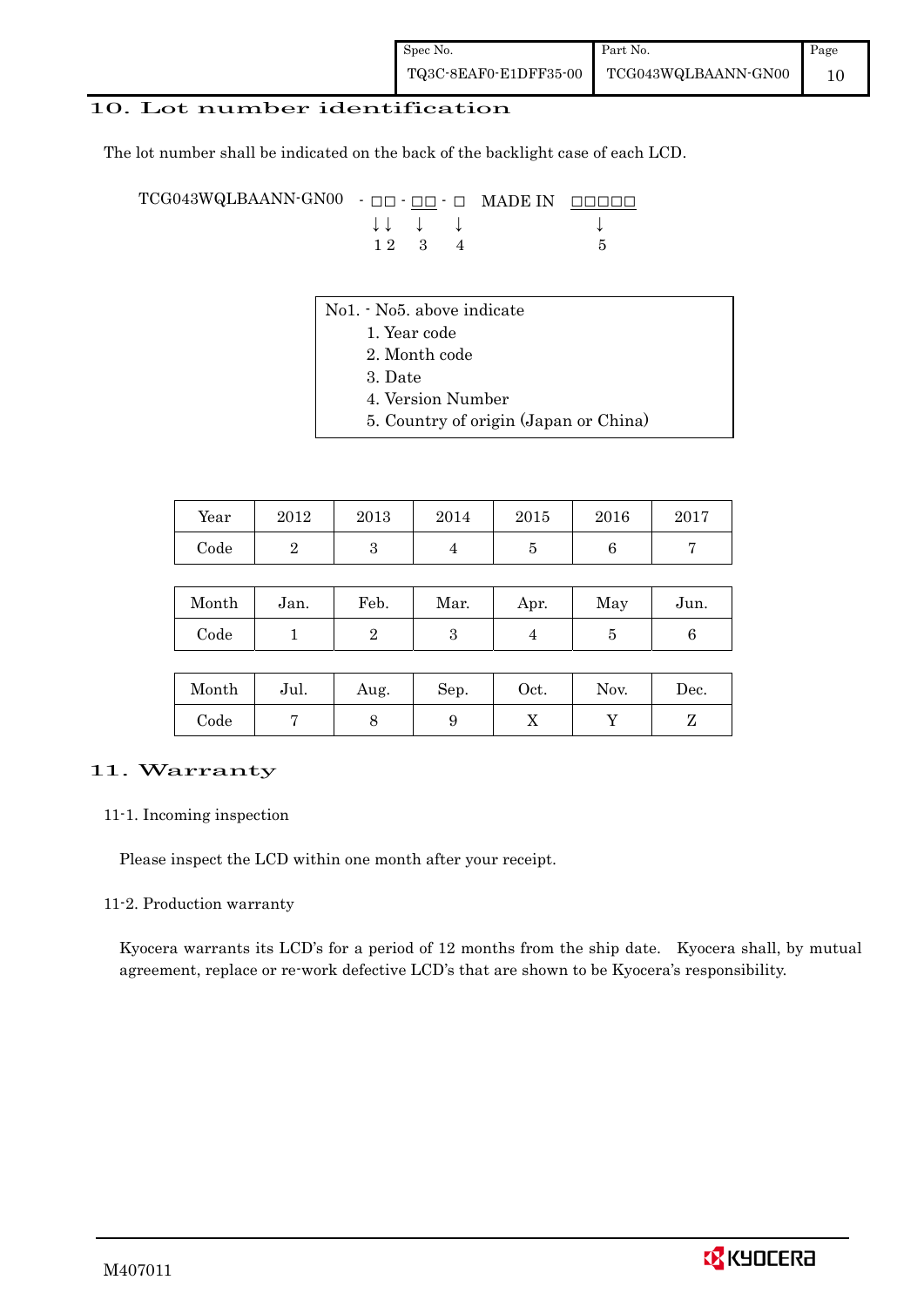# 10. Lot number identification

The lot number shall be indicated on the back of the backlight case of each LCD.

TCG043WQLBAANN-GN00 - □□ - □□ - □ MADE IN □□□□□ ↓ ↓ ↓ ↓ ↓  $12 \quad 3 \quad 4$  5

- No1. No5. above indicate
	- 1. Year code
		- 2. Month code
		- 3. Date
		- 4. Version Number
		- 5. Country of origin (Japan or China)

| Year | 2012 | 2013 | 2014 | 2015 | 2016 | 2017 |
|------|------|------|------|------|------|------|
| Code |      |      |      |      |      |      |

| Month      | Jan. | Feb. | Mar. | Apr. | May | Jun. |
|------------|------|------|------|------|-----|------|
| $\rm Code$ |      |      |      |      |     |      |

| Month      | Jul. | Aug. | Sep. | $\rm Oct.$ | Nov. | Dec. |
|------------|------|------|------|------------|------|------|
| $\rm Code$ |      |      |      | v          |      |      |

### 11. Warranty

#### 11-1. Incoming inspection

Please inspect the LCD within one month after your receipt.

#### 11-2. Production warranty

 Kyocera warrants its LCD's for a period of 12 months from the ship date. Kyocera shall, by mutual agreement, replace or re-work defective LCD's that are shown to be Kyocera's responsibility.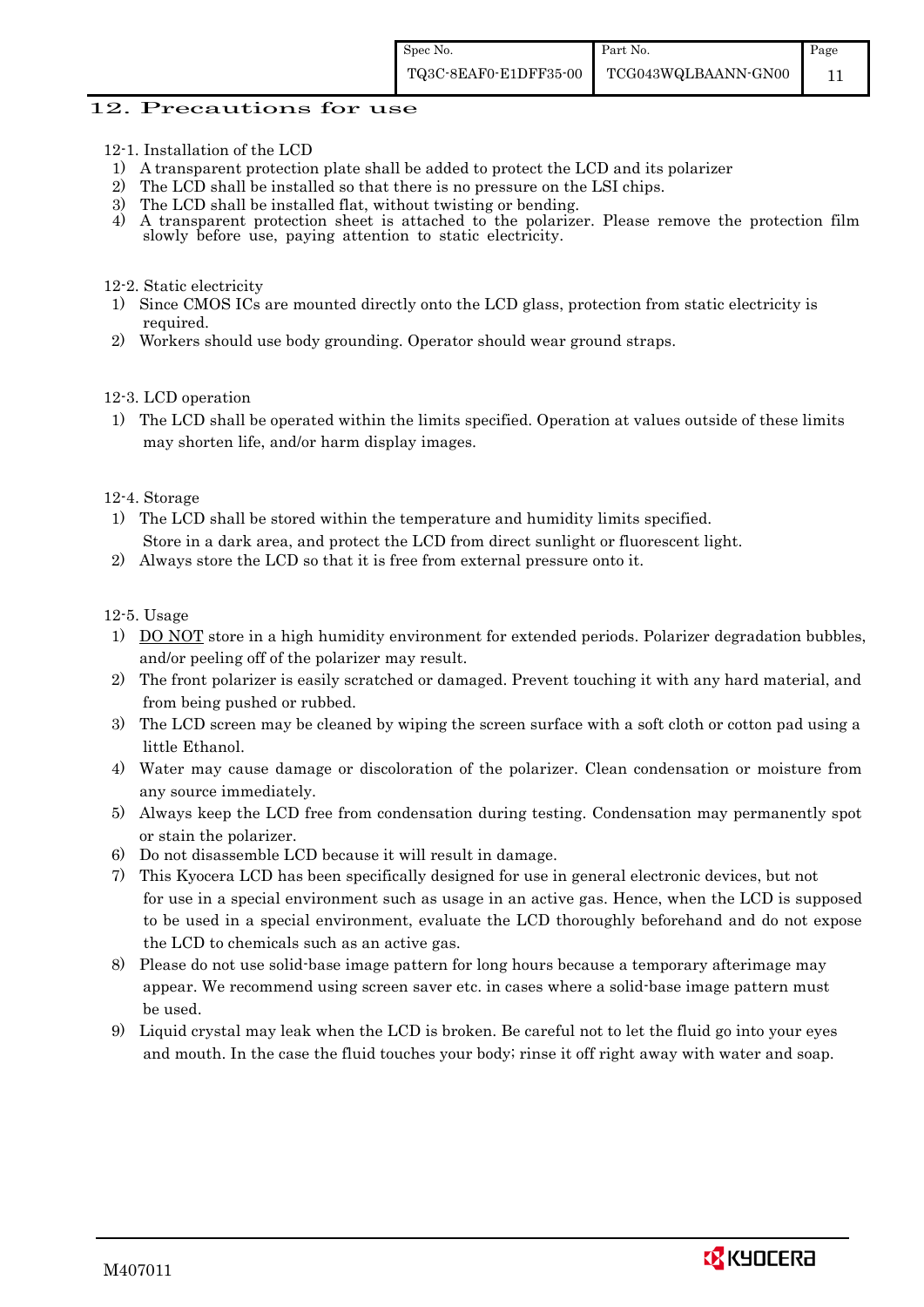#### 12. Precautions for use

- 12-1. Installation of the LCD
- 1) A transparent protection plate shall be added to protect the LCD and its polarizer
- 2) The LCD shall be installed so that there is no pressure on the LSI chips.
- 3) The LCD shall be installed flat, without twisting or bending.
- 4) A transparent protection sheet is attached to the polarizer. Please remove the protection film slowly before use, paying attention to static electricity.

#### 12-2. Static electricity

- 1) Since CMOS ICs are mounted directly onto the LCD glass, protection from static electricity is required.
- 2) Workers should use body grounding. Operator should wear ground straps.

#### 12-3. LCD operation

1) The LCD shall be operated within the limits specified. Operation at values outside of these limits may shorten life, and/or harm display images.

#### 12-4. Storage

- 1) The LCD shall be stored within the temperature and humidity limits specified. Store in a dark area, and protect the LCD from direct sunlight or fluorescent light.
- 2) Always store the LCD so that it is free from external pressure onto it.

12-5. Usage

- 1) DO NOT store in a high humidity environment for extended periods. Polarizer degradation bubbles, and/or peeling off of the polarizer may result.
- 2) The front polarizer is easily scratched or damaged. Prevent touching it with any hard material, and from being pushed or rubbed.
- 3) The LCD screen may be cleaned by wiping the screen surface with a soft cloth or cotton pad using a little Ethanol.
- 4) Water may cause damage or discoloration of the polarizer. Clean condensation or moisture from any source immediately.
- 5) Always keep the LCD free from condensation during testing. Condensation may permanently spot or stain the polarizer.
- 6) Do not disassemble LCD because it will result in damage.
- 7) This Kyocera LCD has been specifically designed for use in general electronic devices, but not for use in a special environment such as usage in an active gas. Hence, when the LCD is supposed to be used in a special environment, evaluate the LCD thoroughly beforehand and do not expose the LCD to chemicals such as an active gas.
- 8) Please do not use solid-base image pattern for long hours because a temporary afterimage may appear. We recommend using screen saver etc. in cases where a solid-base image pattern must be used.
- 9) Liquid crystal may leak when the LCD is broken. Be careful not to let the fluid go into your eyes and mouth. In the case the fluid touches your body; rinse it off right away with water and soap.

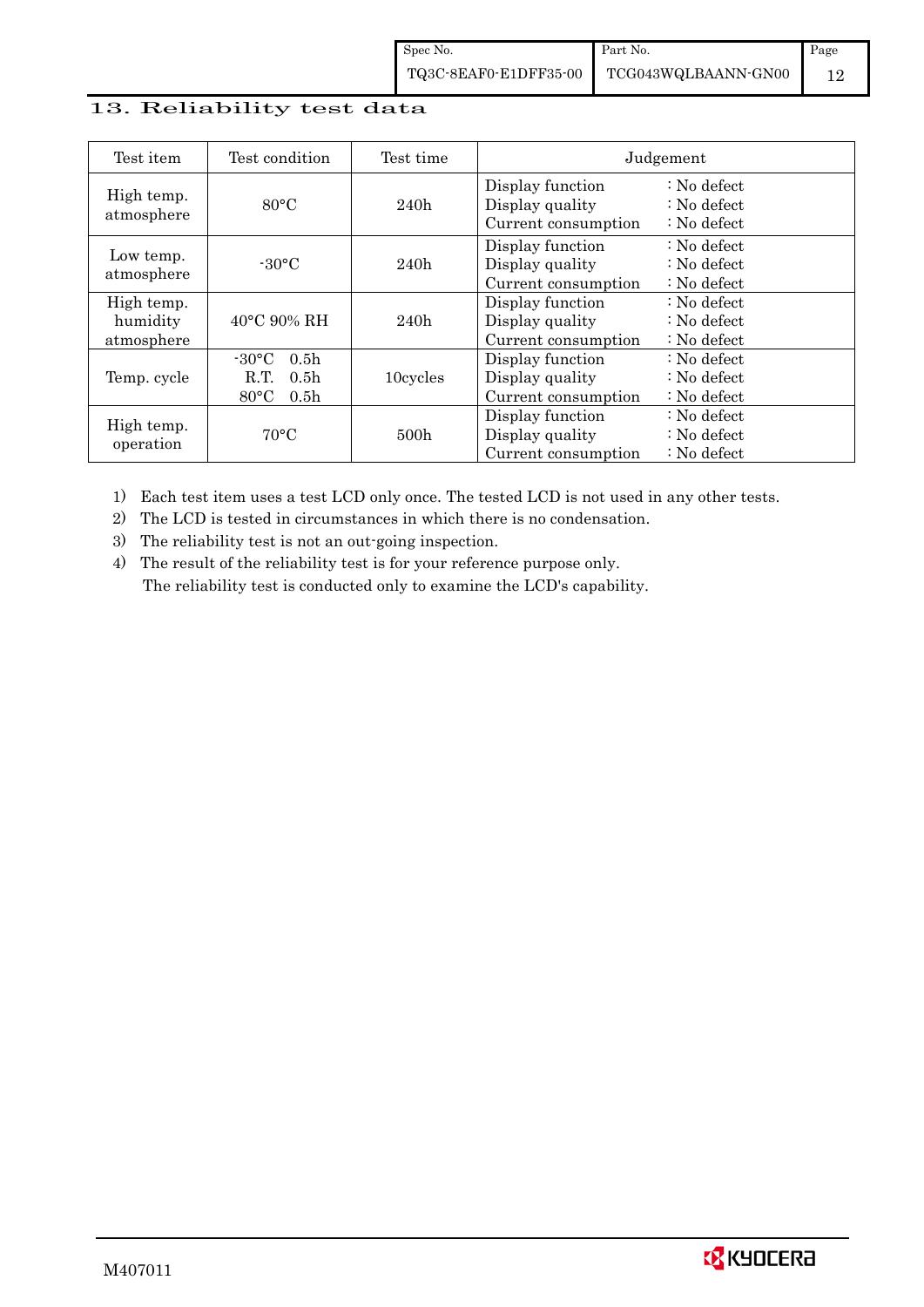# 13. Reliability test data

| Test item                            | Test condition                                                                                        | Test time        |                                                            | Judgement                                                                  |
|--------------------------------------|-------------------------------------------------------------------------------------------------------|------------------|------------------------------------------------------------|----------------------------------------------------------------------------|
| High temp.<br>atmosphere             | $80^{\circ}$ C                                                                                        | 240h             | Display function<br>Display quality<br>Current consumption | $\therefore$ No defect<br>$\therefore$ No defect<br>$\therefore$ No defect |
| Low temp.<br>atmosphere              | $-30$ °C                                                                                              | 240h             | Display function<br>Display quality<br>Current consumption | $\therefore$ No defect<br>: No defect<br>$\therefore$ No defect            |
| High temp.<br>humidity<br>atmosphere | $40^{\circ}$ C 90% RH                                                                                 | 240h             | Display function<br>Display quality<br>Current consumption | : No defect<br>$\therefore$ No defect<br>$\therefore$ No defect            |
| Temp. cycle                          | $-30^{\circ}$ C<br>0.5 <sub>h</sub><br>0.5 <sub>h</sub><br>R.T.<br>$80^{\circ}$ C<br>0.5 <sub>h</sub> | 10cycles         | Display function<br>Display quality<br>Current consumption | $\therefore$ No defect<br>$\therefore$ No defect<br>$\therefore$ No defect |
| High temp.<br>operation              | $70^{\circ}$ C                                                                                        | 500 <sub>h</sub> | Display function<br>Display quality<br>Current consumption | : No defect<br>$\therefore$ No defect<br>$\therefore$ No defect            |

1) Each test item uses a test LCD only once. The tested LCD is not used in any other tests.

2) The LCD is tested in circumstances in which there is no condensation.

3) The reliability test is not an out-going inspection.

4) The result of the reliability test is for your reference purpose only. The reliability test is conducted only to examine the LCD's capability.

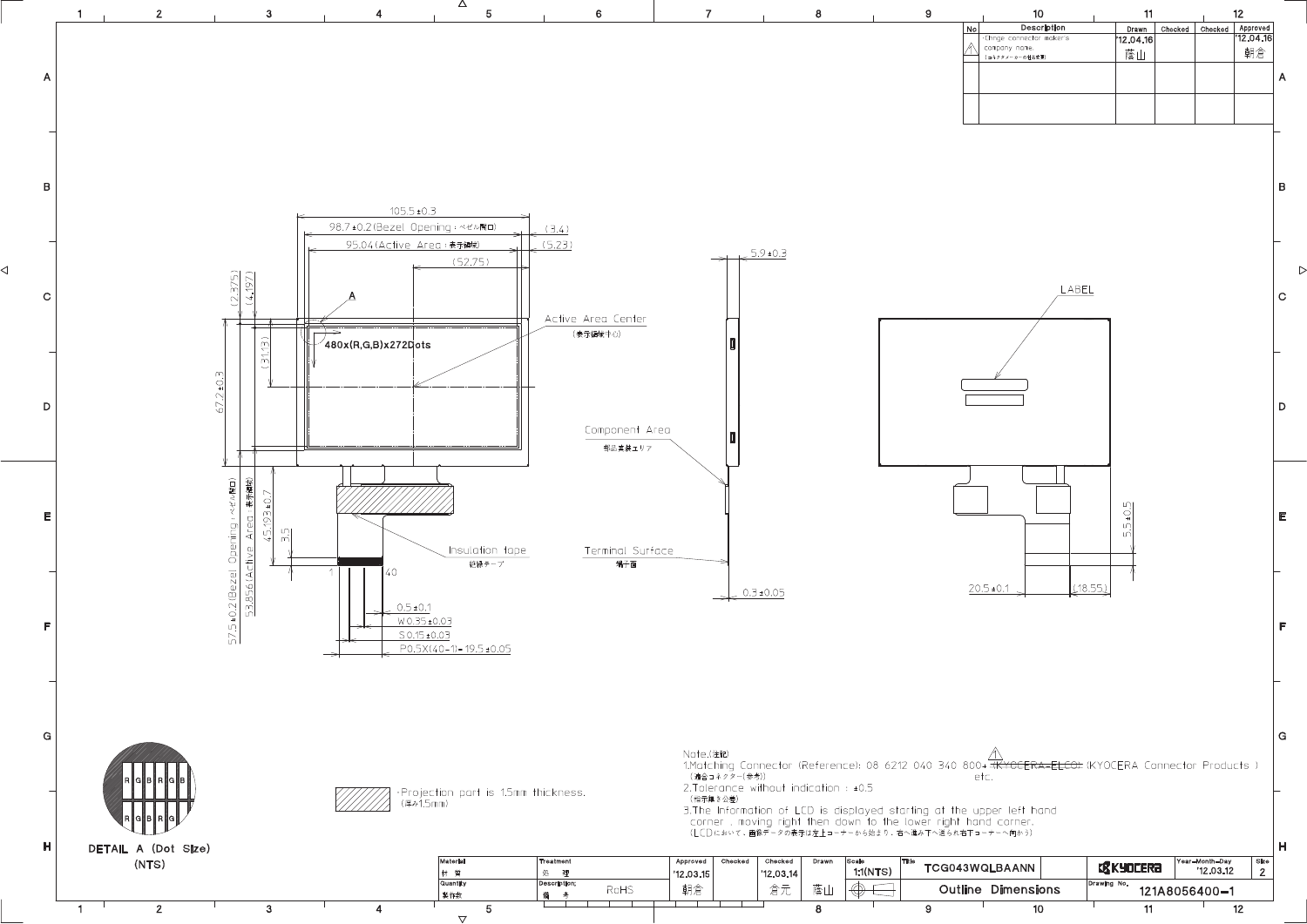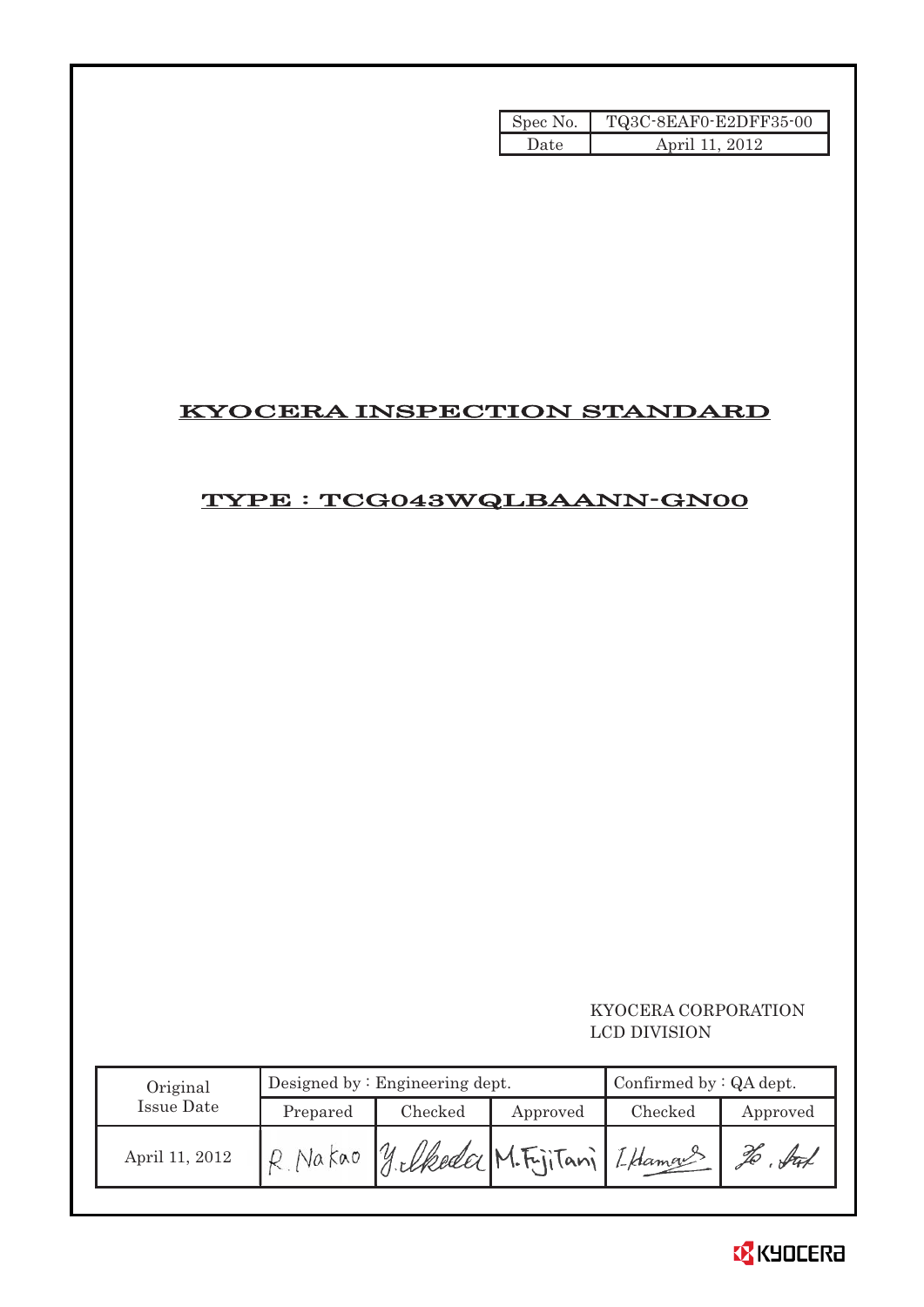| Spec No. | TQ3C-8EAF0-E2DFF35-00 |
|----------|-----------------------|
| Date     | April 11, 2012        |

# KYOCERA INSPECTION STANDARD

# TYPE : TCG043WQLBAANN-GN00

# KYOCERA CORPORATION LCD DIVISION

| Original       |                     | Designed by: Engineering dept. | Confirmed by $:QA$ dept.     |         |          |
|----------------|---------------------|--------------------------------|------------------------------|---------|----------|
| Issue Date     | Checked<br>Prepared |                                | Approved                     | Checked | Approved |
| April 11, 2012 |                     |                                | y elkeder M. FijiTani Lhamas |         | Att      |

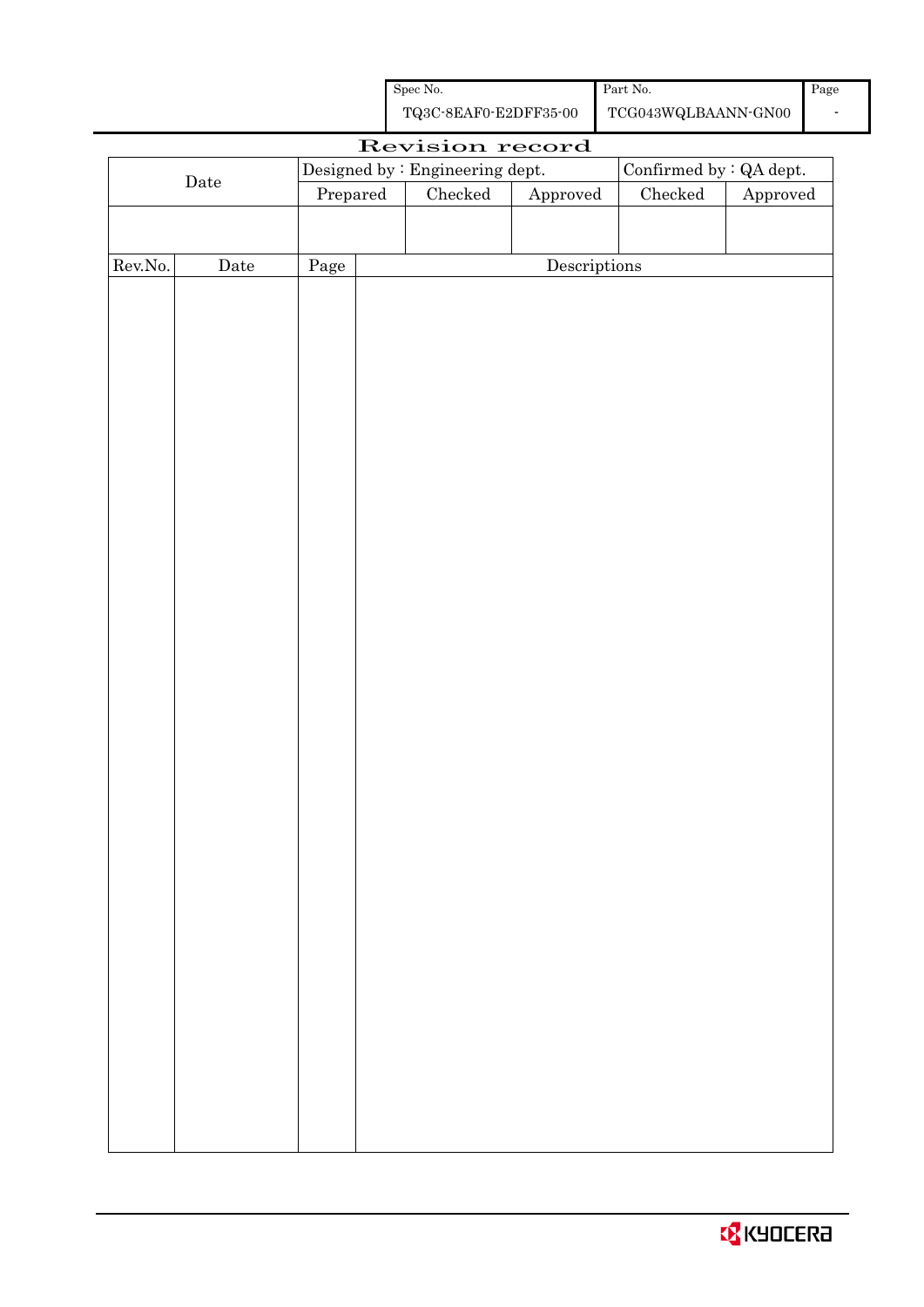| Spec No.              | Part No.            |
|-----------------------|---------------------|
| TQ3C-8EAF0-E2DFF35-00 | TCG043WQLBAANN-GN00 |

Page -

|         |                      |                                                            |  | Revision record |              |         |          |
|---------|----------------------|------------------------------------------------------------|--|-----------------|--------------|---------|----------|
|         |                      | Confirmed by : QA dept.<br>Designed by : Engineering dept. |  |                 |              |         |          |
|         | $\rm{Date}$          | Prepared                                                   |  | $\rm Checked$   | Approved     | Checked | Approved |
|         |                      |                                                            |  |                 |              |         |          |
|         |                      |                                                            |  |                 |              |         |          |
| Rev.No. | $\rm{\textbf{Date}}$ | Page                                                       |  |                 | Descriptions |         |          |
|         |                      |                                                            |  |                 |              |         |          |
|         |                      |                                                            |  |                 |              |         |          |
|         |                      |                                                            |  |                 |              |         |          |
|         |                      |                                                            |  |                 |              |         |          |
|         |                      |                                                            |  |                 |              |         |          |
|         |                      |                                                            |  |                 |              |         |          |
|         |                      |                                                            |  |                 |              |         |          |
|         |                      |                                                            |  |                 |              |         |          |
|         |                      |                                                            |  |                 |              |         |          |
|         |                      |                                                            |  |                 |              |         |          |
|         |                      |                                                            |  |                 |              |         |          |
|         |                      |                                                            |  |                 |              |         |          |
|         |                      |                                                            |  |                 |              |         |          |
|         |                      |                                                            |  |                 |              |         |          |
|         |                      |                                                            |  |                 |              |         |          |
|         |                      |                                                            |  |                 |              |         |          |
|         |                      |                                                            |  |                 |              |         |          |
|         |                      |                                                            |  |                 |              |         |          |
|         |                      |                                                            |  |                 |              |         |          |
|         |                      |                                                            |  |                 |              |         |          |
|         |                      |                                                            |  |                 |              |         |          |
|         |                      |                                                            |  |                 |              |         |          |
|         |                      |                                                            |  |                 |              |         |          |
|         |                      |                                                            |  |                 |              |         |          |
|         |                      |                                                            |  |                 |              |         |          |
|         |                      |                                                            |  |                 |              |         |          |
|         |                      |                                                            |  |                 |              |         |          |
|         |                      |                                                            |  |                 |              |         |          |
|         |                      |                                                            |  |                 |              |         |          |
|         |                      |                                                            |  |                 |              |         |          |
|         |                      |                                                            |  |                 |              |         |          |
|         |                      |                                                            |  |                 |              |         |          |
|         |                      |                                                            |  |                 |              |         |          |
|         |                      |                                                            |  |                 |              |         |          |
|         |                      |                                                            |  |                 |              |         |          |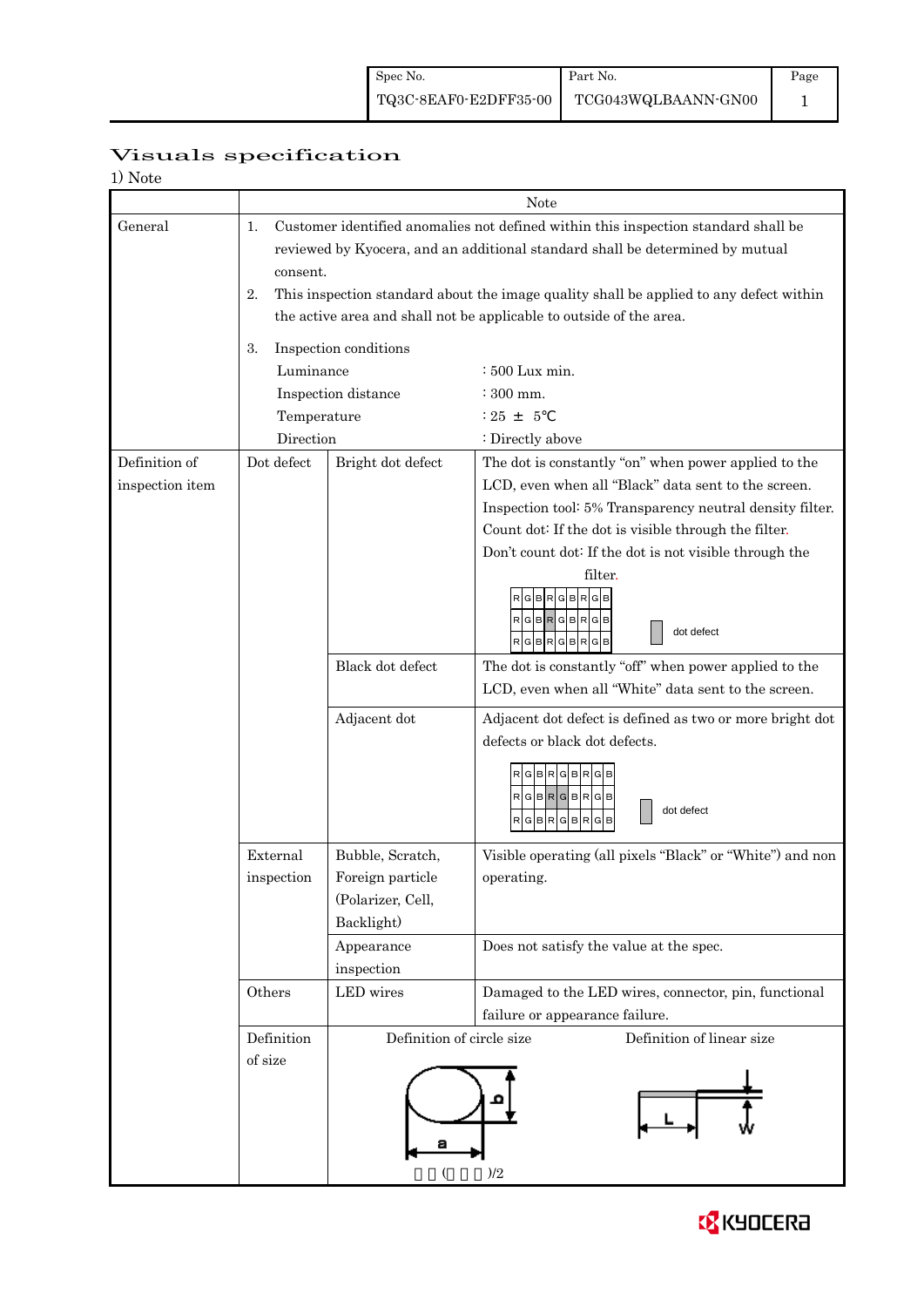Page 1

# Visuals specification

| $\mathcal{L}$<br>Note |
|-----------------------|
|-----------------------|

|                 |                                                                                                                                                                     |                                                                                                                                                                                 | Note                                                            |  |  |  |  |
|-----------------|---------------------------------------------------------------------------------------------------------------------------------------------------------------------|---------------------------------------------------------------------------------------------------------------------------------------------------------------------------------|-----------------------------------------------------------------|--|--|--|--|
| General         | 1.                                                                                                                                                                  | Customer identified anomalies not defined within this inspection standard shall be<br>reviewed by Kyocera, and an additional standard shall be determined by mutual<br>consent. |                                                                 |  |  |  |  |
|                 | 2.<br>This inspection standard about the image quality shall be applied to any defect within<br>the active area and shall not be applicable to outside of the area. |                                                                                                                                                                                 |                                                                 |  |  |  |  |
|                 | 3.                                                                                                                                                                  | Inspection conditions                                                                                                                                                           |                                                                 |  |  |  |  |
|                 | Luminance                                                                                                                                                           |                                                                                                                                                                                 | $\div 500$ Lux min.                                             |  |  |  |  |
|                 |                                                                                                                                                                     | Inspection distance                                                                                                                                                             | $\div$ 300 mm.                                                  |  |  |  |  |
|                 | Temperature                                                                                                                                                         |                                                                                                                                                                                 | $: 25 \pm 5$                                                    |  |  |  |  |
|                 | Direction                                                                                                                                                           |                                                                                                                                                                                 | : Directly above                                                |  |  |  |  |
| Definition of   | Dot defect                                                                                                                                                          | Bright dot defect                                                                                                                                                               | The dot is constantly "on" when power applied to the            |  |  |  |  |
| inspection item |                                                                                                                                                                     |                                                                                                                                                                                 | LCD, even when all "Black" data sent to the screen.             |  |  |  |  |
|                 |                                                                                                                                                                     |                                                                                                                                                                                 | Inspection tool: 5% Transparency neutral density filter.        |  |  |  |  |
|                 |                                                                                                                                                                     |                                                                                                                                                                                 | Count dot: If the dot is visible through the filter.            |  |  |  |  |
|                 |                                                                                                                                                                     |                                                                                                                                                                                 | Don't count dot: If the dot is not visible through the          |  |  |  |  |
|                 |                                                                                                                                                                     |                                                                                                                                                                                 | filter.<br>GBRGBR<br>dot defect                                 |  |  |  |  |
|                 |                                                                                                                                                                     | Black dot defect                                                                                                                                                                | The dot is constantly "off" when power applied to the           |  |  |  |  |
|                 |                                                                                                                                                                     |                                                                                                                                                                                 | LCD, even when all "White" data sent to the screen.             |  |  |  |  |
|                 |                                                                                                                                                                     | Adjacent dot                                                                                                                                                                    | Adjacent dot defect is defined as two or more bright dot        |  |  |  |  |
|                 |                                                                                                                                                                     |                                                                                                                                                                                 | defects or black dot defects.                                   |  |  |  |  |
|                 |                                                                                                                                                                     |                                                                                                                                                                                 | GIBIRI<br>RGBRGBRG<br>dot defect<br>RGBR<br>G<br><b>BR</b><br>G |  |  |  |  |
|                 | External                                                                                                                                                            | Bubble, Scratch,                                                                                                                                                                | Visible operating (all pixels "Black" or "White") and non       |  |  |  |  |
|                 | inspection                                                                                                                                                          | Foreign particle                                                                                                                                                                | operating.                                                      |  |  |  |  |
|                 |                                                                                                                                                                     | (Polarizer, Cell,                                                                                                                                                               |                                                                 |  |  |  |  |
|                 |                                                                                                                                                                     | Backlight)                                                                                                                                                                      |                                                                 |  |  |  |  |
|                 |                                                                                                                                                                     | Appearance                                                                                                                                                                      | Does not satisfy the value at the spec.                         |  |  |  |  |
|                 |                                                                                                                                                                     | inspection                                                                                                                                                                      |                                                                 |  |  |  |  |
|                 | Others                                                                                                                                                              | LED wires                                                                                                                                                                       | Damaged to the LED wires, connector, pin, functional            |  |  |  |  |
|                 |                                                                                                                                                                     |                                                                                                                                                                                 | failure or appearance failure.                                  |  |  |  |  |
|                 | Definition                                                                                                                                                          | Definition of circle size                                                                                                                                                       | Definition of linear size                                       |  |  |  |  |
|                 | of size                                                                                                                                                             |                                                                                                                                                                                 |                                                                 |  |  |  |  |
|                 |                                                                                                                                                                     | а<br>)/2                                                                                                                                                                        |                                                                 |  |  |  |  |